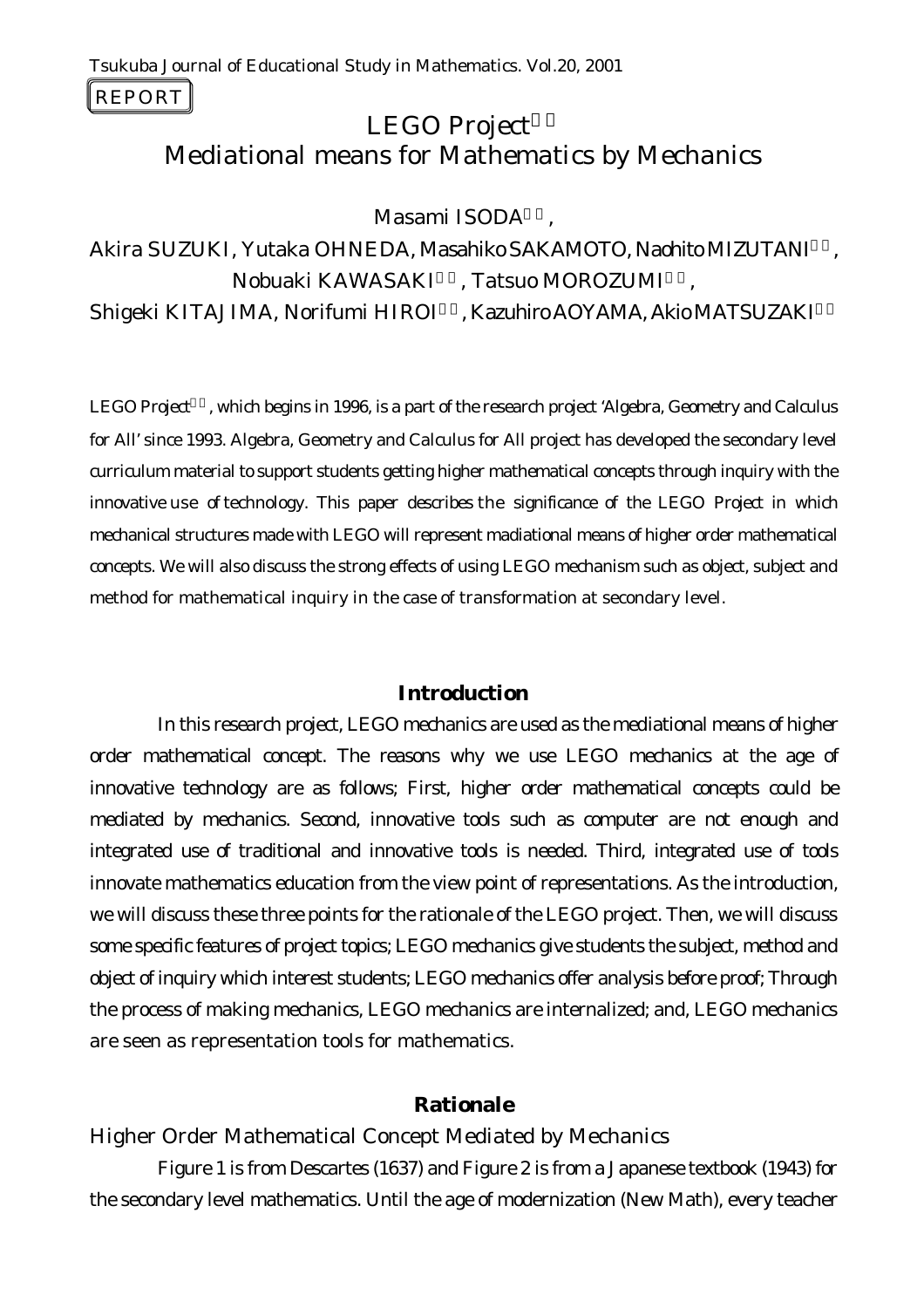REPORT

# **LEGO Project** Mediational means for Mathematics by Mechanics

Masami ISODA

Akira SUZUKI, Yutaka OHNEDA, Masahiko SAKAMOTO, Naohito MIZUTANI3), Nobuaki KAWASAKI , Tatsuo MOROZUMI Shigeki KITAJIMA, Norifumi HIROI6), Kazuhiro AOYAMA, Akio MATSUZAKI

*LEGO Project*8)*, which begins in 1996, is a part of the research project 'Algebra, Geometry and Calculus for All' since 1993. Algebra, Geometry and Calculus for All project has developed the secondary level curriculum material to support students getting higher mathematical concepts through inquiry with the innovative use of technology. This paper describes the significance of the LEGO Project in which mechanical structures made with LEGO will represent madiational means of higher order mathematical concepts. We will also discuss the strong effects of using LEGO mechanism such as object, subject and method for mathematical inquiry in the case of transformation at secondary level.* 

### **Introduction**

In this research project, LEGO mechanics are used as the mediational means of higher order mathematical concept. The reasons why we use LEGO mechanics at the age of innovative technology are as follows; First, higher order mathematical concepts could be mediated by mechanics. Second, innovative tools such as computer are not enough and integrated use of traditional and innovative tools is needed. Third, integrated use of tools innovate mathematics education from the view point of representations. As the introduction, we will discuss these three points for the rationale of the LEGO project. Then, we will discuss some specific features of project topics; LEGO mechanics give students the subject, method and object of inquiry which interest students; LEGO mechanics offer analysis before proof; Through the process of making mechanics, LEGO mechanics are internalized; and, LEGO mechanics are seen as representation tools for mathematics.

### **Rationale**

### *Higher Order Mathematical Concept Mediated by Mechanics*

Figure 1 is from Descartes (1637) and Figure 2 is from a Japanese textbook (1943) for the secondary level mathematics. Until the age of modernization (New Math), every teacher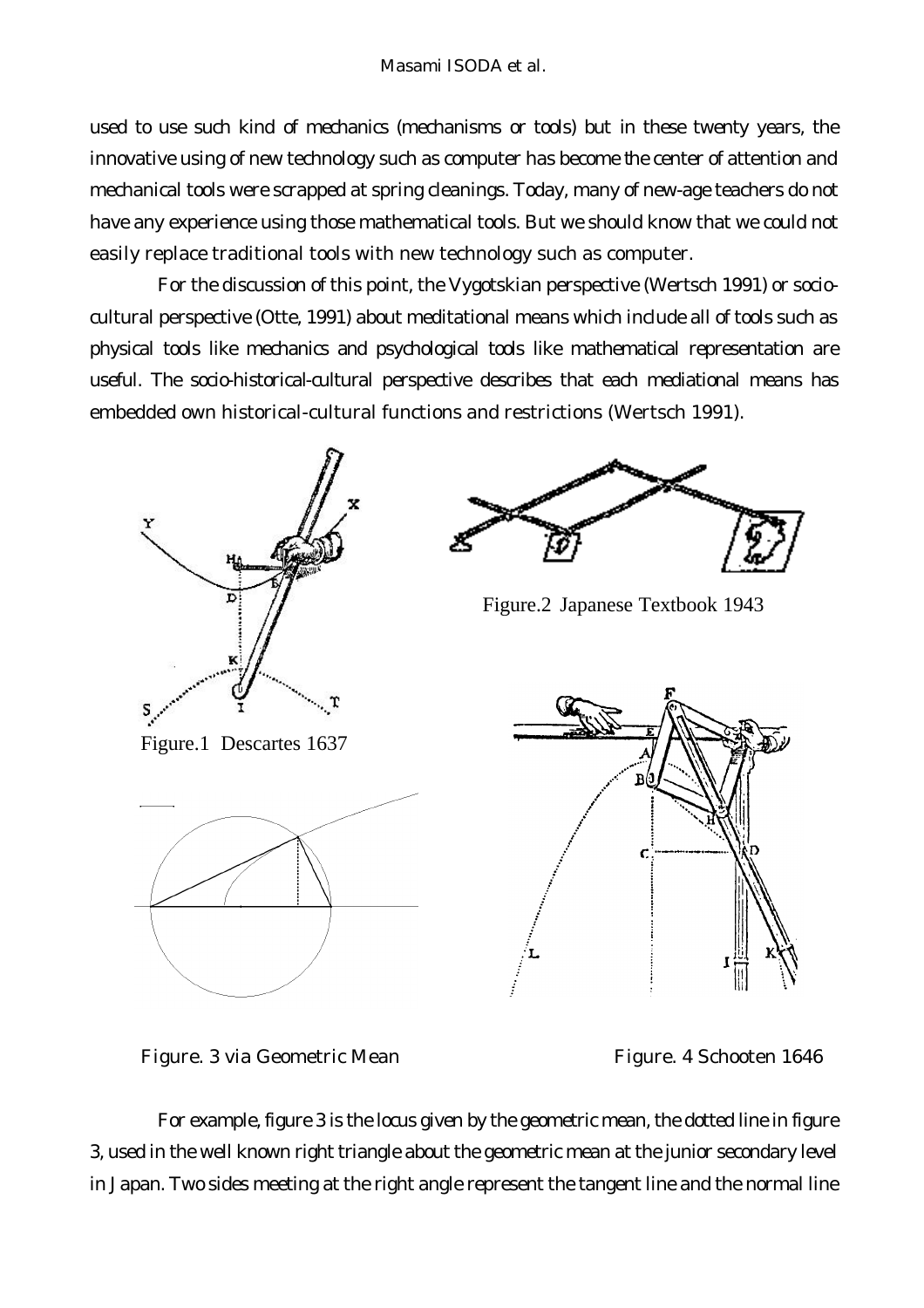used to use such kind of mechanics (mechanisms or tools) but in these twenty years, the innovative using of new technology such as computer has become the center of attention and mechanical tools were scrapped at spring cleanings. Today, many of new-age teachers do not have any experience using those mathematical tools. But we should know that we could not easily replace traditional tools with new technology such as computer.

For the discussion of this point, the Vygotskian perspective (Wertsch 1991) or sociocultural perspective (Otte, 1991) about meditational means which include all of tools such as physical tools like mechanics and psychological tools like mathematical representation are useful. The socio-historical-cultural perspective describes that *each mediational means has embedded own historical-cultural functions and restrictions* (Wertsch 1991).



Figure. 3 via Geometric Mean Figure. 4 Schooten 1646

For example, figure 3 is the locus given by the geometric mean, the dotted line in figure 3, used in the well known right triangle about the geometric mean at the junior secondary level in Japan. Two sides meeting at the right angle represent the tangent line and the normal line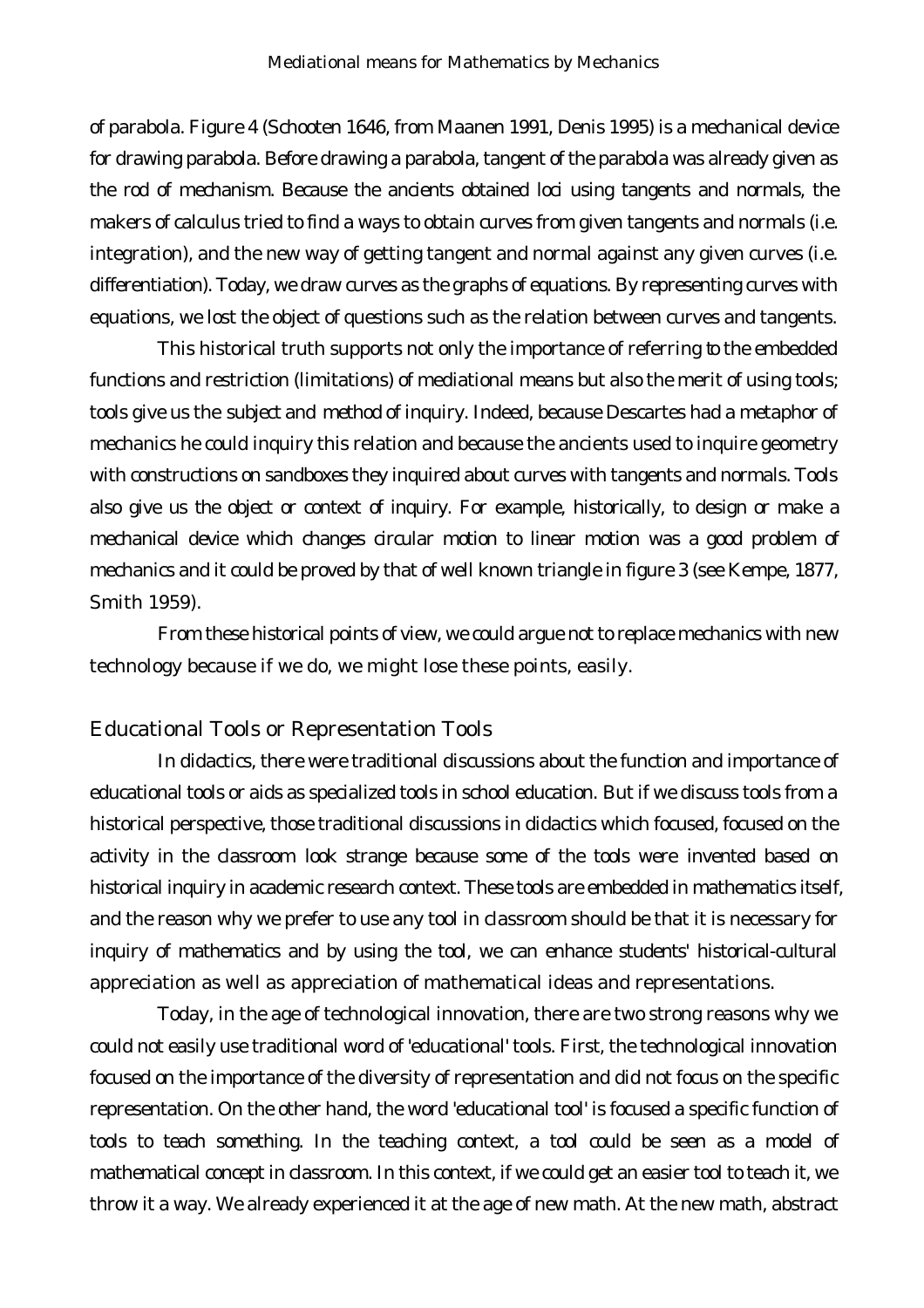of parabola. Figure 4 (Schooten 1646, from Maanen 1991, Denis 1995) is a mechanical device for drawing parabola. Before drawing a parabola, tangent of the parabola was already given as the rod of mechanism. Because the ancients obtained loci using tangents and normals, the makers of calculus tried to find a ways to obtain curves from given tangents and normals (i.e. integration), and the new way of getting tangent and normal against any given curves (i.e. differentiation). Today, we draw curves as the graphs of equations. By representing curves with equations, we lost the object of questions such as the relation between curves and tangents.

This historical truth supports not only the importance of referring to the embedded functions and restriction (limitations) of mediational means but also the merit of using tools; tools give us the *subject* and *method* of inquiry. Indeed, because Descartes had a metaphor of mechanics he could inquiry this relation and because the ancients used to inquire geometry with constructions on sandboxes they inquired about curves with tangents and normals. Tools also give us the *object* or *context* of inquiry. For example, historically, to *design* or *make* a mechanical device which changes circular motion to linear motion was a good problem of mechanics and it could be proved by that of well known triangle in figure 3 (see Kempe, 1877, Smith 1959).

From these historical points of view, we could argue not to replace mechanics with new technology because if we do, we might lose these points, easily.

#### *Educational Tools or Representation Tools*

In didactics, there were traditional discussions about the function and importance of educational tools or aids as specialized tools in school education. But if we discuss tools from a historical perspective, those traditional discussions in didactics which focused, focused on the activity in the classroom look strange because some of the tools were invented based on historical inquiry in academic research context. These tools are embedded in mathematics itself, and the reason why we prefer to use any tool in classroom should be that it is necessary for inquiry of mathematics and by using the tool, we can enhance students' *historical-cultural appreciation* as well as *appreciation of mathematical ideas and representations*.

Today, in the age of technological innovation, there are two strong reasons why we could not easily use traditional word of 'educational' tools. First, the technological innovation focused on the importance of the diversity of representation and did not focus on the specific representation. On the other hand, the word 'educational tool' is focused a specific function of tools to teach something. In the teaching context, a tool could be seen as a model of mathematical concept in classroom. In this context, if we could get an easier tool to teach it, we throw it a way. We already experienced it at the age of new math. At the new math, abstract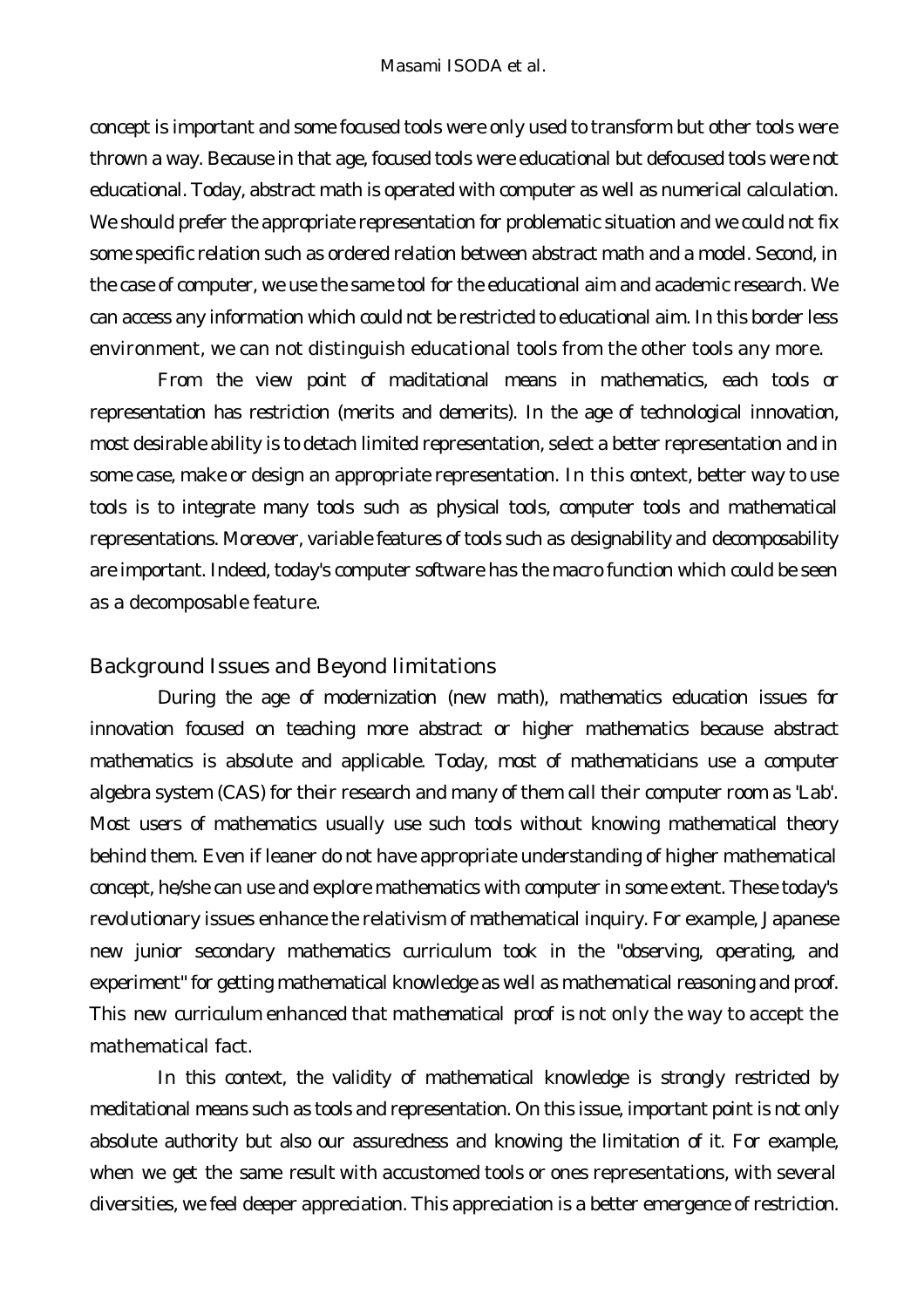concept is important and some focused tools were only used to transform but other tools were thrown a way. Because in that age, focused tools were educational but defocused tools were not educational. Today, abstract math is operated with computer as well as numerical calculation. We should prefer the appropriate representation for problematic situation and we could not fix some specific relation such as ordered relation between abstract math and a model. Second, in the case of computer, we use the same tool for the educational aim and academic research. We can access any information which could not be restricted to educational aim. In this border less environment, we can not distinguish educational tools from the other tools any more.

From the view point of maditational means in mathematics, each tools or representation has restriction (merits and demerits). *In the age of technological innovation, most desirable ability is to detach limited representation, select a better representation and in some case, make or design an appropriate representation.* In this context, better way to use tools is to integrate many tools such as physical tools, computer tools and mathematical representations. Moreover, variable features of tools such as *designability* and *decomposability* are important. Indeed, today's computer software has the macro function which could be seen as a decomposable feature.

### *Background Issues and Beyond limitations*

During the age of modernization (new math), mathematics education issues for innovation focused on teaching more abstract or higher mathematics because abstract mathematics is absolute and applicable. Today, most of mathematicians use a computer algebra system (CAS) for their research and many of them call their computer room as 'Lab'. Most users of mathematics usually use such tools without knowing mathematical theory behind them. Even if leaner do not have appropriate understanding of higher mathematical concept, he/she can use and explore mathematics with computer in some extent. These today's revolutionary issues enhance the relativism of mathematical inquiry. For example, Japanese new junior secondary mathematics curriculum took in the "observing, operating, and experiment" for getting mathematical knowledge as well as mathematical reasoning and proof. This new curriculum enhanced that mathematical proof is not only the way to accept the mathematical fact.

In this context, the validity of mathematical knowledge is strongly restricted by meditational means such as tools and representation. On this issue, important point is not only absolute authority but also our assuredness and knowing the limitation of it. For example, when we get the same result with accustomed tools or ones representations, with several diversities, we feel deeper appreciation. This appreciation is a better emergence of restriction.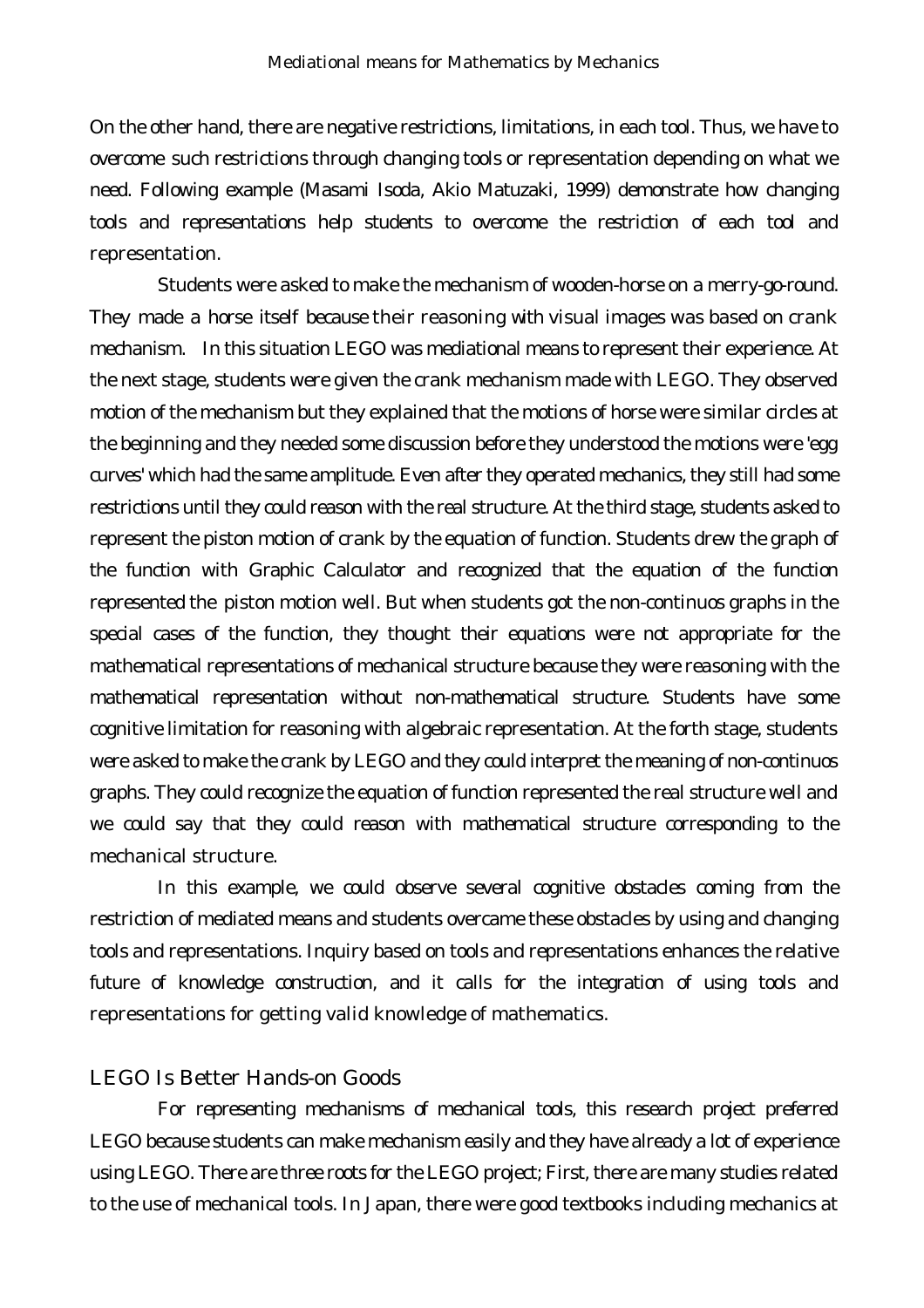On the other hand, there are negative restrictions, limitations, in each tool. Thus, we have to overcome such restrictions through changing tools or representation depending on what we need. Following example (Masami Isoda, Akio Matuzaki, 1999) demonstrate how changing tools and representations help students to overcome the restriction of each tool and representation.

Students were asked to make the mechanism of wooden-horse on a merry-go-round. They made a horse itself because their reasoning with visual images was based on crank mechanism. In this situation LEGO was mediational means to represent their experience. At the next stage, students were given the crank mechanism made with LEGO. They observed motion of the mechanism but they explained that the motions of horse were similar circles at the beginning and they needed some discussion before they understood the motions were 'egg curves' which had the same amplitude. Even after they operated mechanics, they still had some restrictions until they could reason with the real structure. At the third stage, students asked to represent the piston motion of crank by the equation of function. Students drew the graph of the function with Graphic Calculator and recognized that the equation of the function represented the piston motion well. But when students got the non-continuos graphs in the special cases of the function, they thought their equations were not appropriate for the mathematical representations of mechanical structure because they were reasoning with the mathematical representation without non-mathematical structure. Students have some cognitive limitation for reasoning with algebraic representation. At the forth stage, students were asked to make the crank by LEGO and they could interpret the meaning of non-continuos graphs. They could recognize the equation of function represented the real structure well and we could say that they could reason with mathematical structure corresponding to the mechanical structure.

In this example, we could observe several cognitive obstacles coming from the restriction of mediated means and students overcame these obstacles by using and changing tools and representations. Inquiry based on tools and representations enhances the relative future of knowledge construction, and it calls for the integration of using tools and representations for getting valid knowledge of mathematics.

### *LEGO Is Better Hands-on Goods*

For representing mechanisms of mechanical tools, this research project preferred LEGO because students can make mechanism easily and they have already a lot of experience using LEGO. There are three roots for the LEGO project; First, there are many studies related to the use of mechanical tools. In Japan, there were good textbooks including mechanics at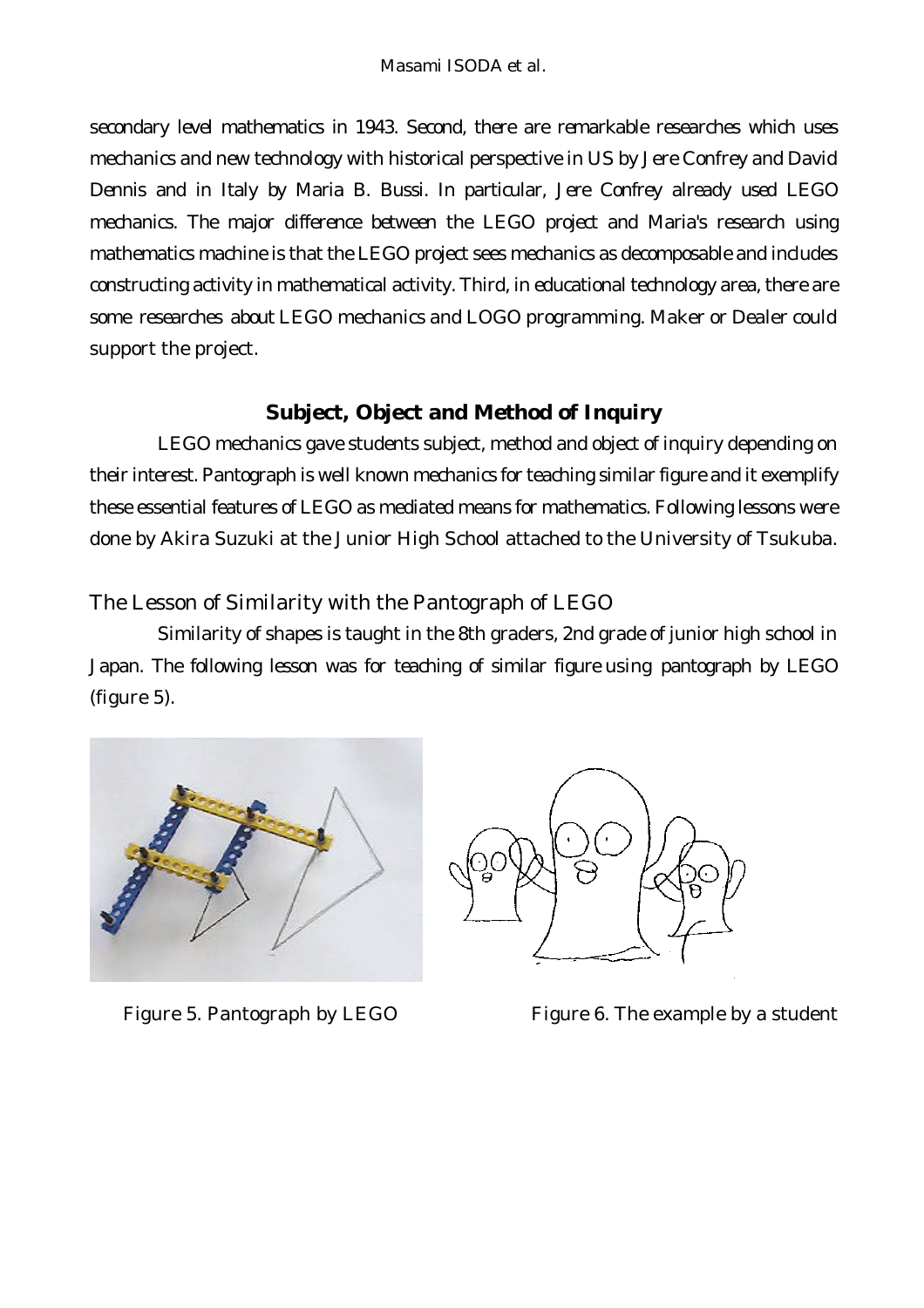secondary level mathematics in 1943. Second, there are remarkable researches which uses mechanics and new technology with historical perspective in US by Jere Confrey and David Dennis and in Italy by Maria B. Bussi. In particular, Jere Confrey already used LEGO mechanics. The major difference between the LEGO project and Maria's research using mathematics machine is that the LEGO project sees mechanics as decomposable and includes constructing activity in mathematical activity. Third, in educational technology area, there are some researches about LEGO mechanics and LOGO programming. Maker or Dealer could support the project.

# **Subject, Object and Method of Inquiry**

LEGO mechanics gave students subject, method and object of inquiry depending on their interest. Pantograph is well known mechanics for teaching similar figure and it exemplify these essential features of LEGO as mediated means for mathematics. Following lessons were done by Akira Suzuki at the Junior High School attached to the University of Tsukuba.

# *The Lesson of Similarity with the Pantograph of LEGO*

Similarity of shapes is taught in the 8th graders, 2nd grade of junior high school in Japan. The following lesson was for teaching of similar figure using pantograph by LEGO (figure 5).





Figure 5. Pantograph by LEGO Figure 6. The example by a student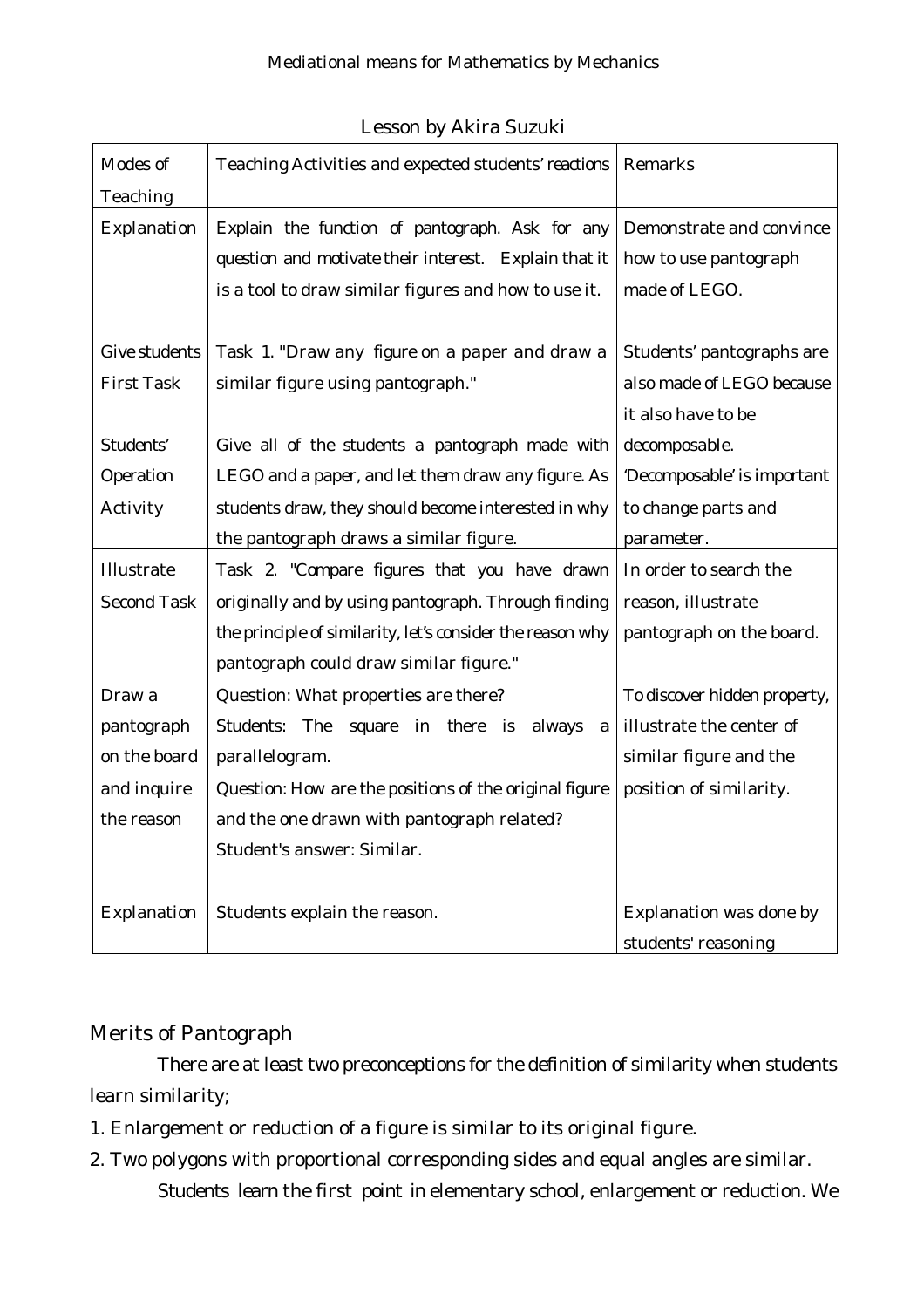| Modes of           | Teaching Activities and expected students' reactions       | Remarks                      |
|--------------------|------------------------------------------------------------|------------------------------|
| Teaching           |                                                            |                              |
| Explanation        | Explain the function of pantograph. Ask for any            | Demonstrate and convince     |
|                    | question and motivate their interest. Explain that it      | how to use pantograph        |
|                    | is a tool to draw similar figures and how to use it.       | made of LEGO.                |
|                    |                                                            |                              |
| Give students      | Task 1. "Draw any figure on a paper and draw a             | Students' pantographs are    |
| <b>First Task</b>  | similar figure using pantograph."                          | also made of LEGO because    |
|                    |                                                            | it also have to be           |
| Students'          | Give all of the students a pantograph made with            | decomposable.                |
| Operation          | LEGO and a paper, and let them draw any figure. As         | 'Decomposable' is important  |
| Activity           | students draw, they should become interested in why        | to change parts and          |
|                    | the pantograph draws a similar figure.                     | parameter.                   |
| Illustrate         | Task 2. "Compare figures that you have drawn               | In order to search the       |
| <b>Second Task</b> | originally and by using pantograph. Through finding        | reason, illustrate           |
|                    | the principle of similarity, let's consider the reason why | pantograph on the board.     |
|                    | pantograph could draw similar figure."                     |                              |
| Draw a             | Question: What properties are there?                       | To discover hidden property, |
| pantograph         | Students: The<br>in there<br>square<br>is<br>always<br>a   | illustrate the center of     |
| on the board       | parallelogram.                                             | similar figure and the       |
| and inquire        | Question: How are the positions of the original figure     | position of similarity.      |
| the reason         | and the one drawn with pantograph related?                 |                              |
|                    | Student's answer: Similar.                                 |                              |
|                    |                                                            |                              |
| Explanation        | Students explain the reason.                               | Explanation was done by      |
|                    |                                                            | students' reasoning          |

### *Lesson by Akira Suzuki*

# *Merits of Pantograph*

There are at least two preconceptions for the definition of similarity when students learn similarity;

- 1. Enlargement or reduction of a figure is similar to its original figure.
- 2. Two polygons with proportional corresponding sides and equal angles are similar. Students learn the first point in elementary school, enlargement or reduction. We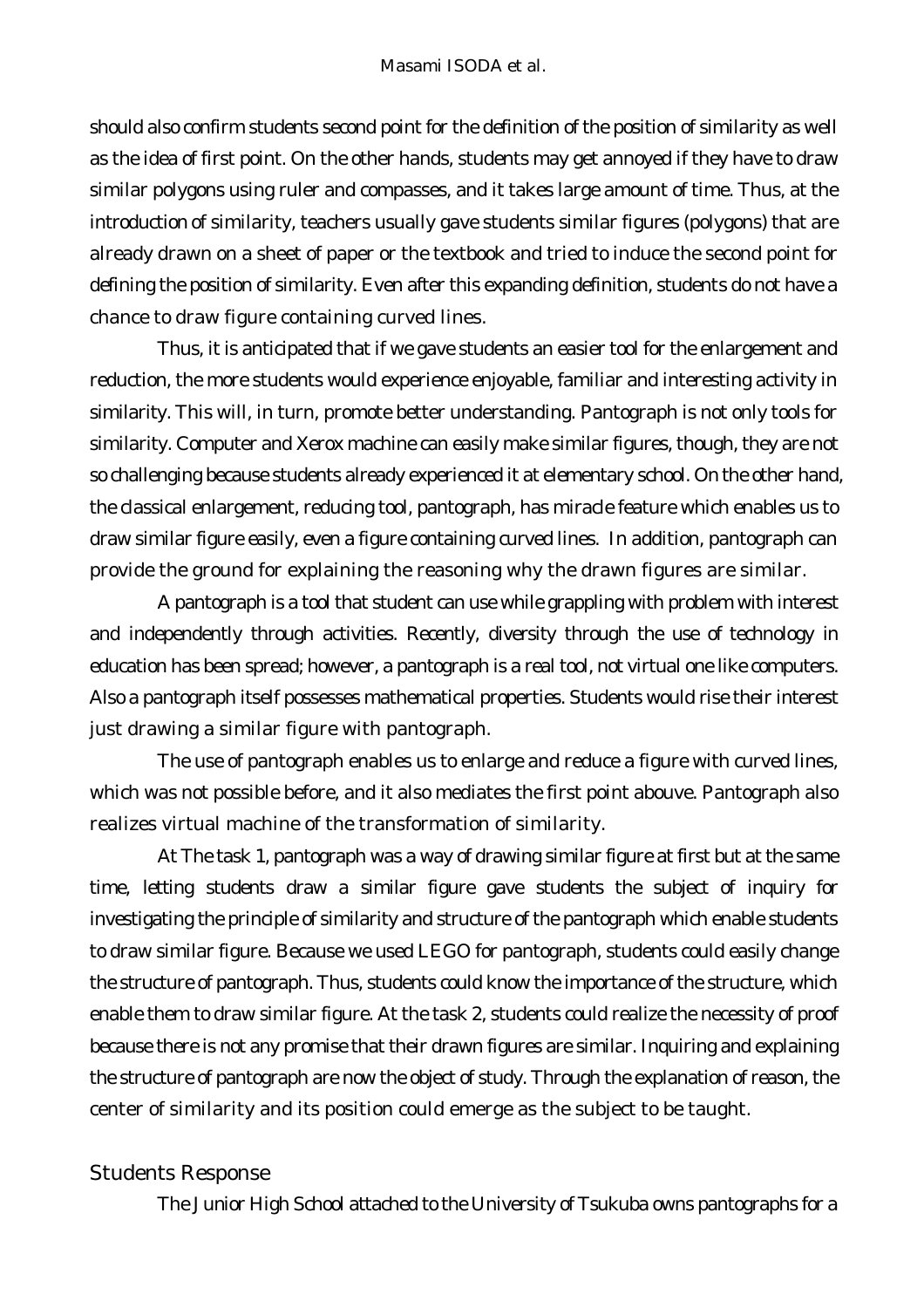should also confirm students second point for the definition of the position of similarity as well as the idea of first point. On the other hands, students may get annoyed if they have to draw similar polygons using ruler and compasses, and it takes large amount of time. Thus, at the introduction of similarity, teachers usually gave students similar figures (polygons) that are already drawn on a sheet of paper or the textbook and tried to induce the second point for defining the position of similarity. Even after this expanding definition, students do not have a chance to draw figure containing curved lines.

Thus, it is anticipated that if we gave students an easier tool for the enlargement and reduction, the more students would experience enjoyable, familiar and interesting activity in similarity. This will, in turn, promote better understanding. Pantograph is not only tools for similarity. Computer and Xerox machine can easily make similar figures, though, they are not so challenging because students already experienced it at elementary school. On the other hand, the classical enlargement, reducing tool, pantograph, has miracle feature which enables us to draw similar figure easily, even a figure containing curved lines. In addition, pantograph can provide the ground for explaining the reasoning why the drawn figures are similar.

A pantograph is a tool that student can use while grappling with problem with interest and independently through activities. Recently, diversity through the use of technology in education has been spread; however, a pantograph is a real tool, not virtual one like computers. Also a pantograph itself possesses mathematical properties. Students would rise their interest just drawing a similar figure with pantograph.

The use of pantograph enables us to enlarge and reduce a figure with curved lines, which was not possible before, and it also mediates the first point abouve. Pantograph also realizes virtual machine of the transformation of similarity.

At The task 1, pantograph was a way of drawing similar figure at first but at the same time, letting students draw a similar figure gave students the subject of inquiry for investigating the principle of similarity and structure of the pantograph which enable students to draw similar figure. Because we used LEGO for pantograph, students could easily change the structure of pantograph. Thus, students could know the importance of the structure, which enable them to draw similar figure. At the task 2, students could realize the necessity of proof because there is not any promise that their drawn figures are similar. Inquiring and explaining the structure of pantograph are now the object of study. Through the explanation of reason, the center of similarity and its position could emerge as the subject to be taught.

### *Students Response*

The Junior High School attached to the University of Tsukuba owns pantographs for a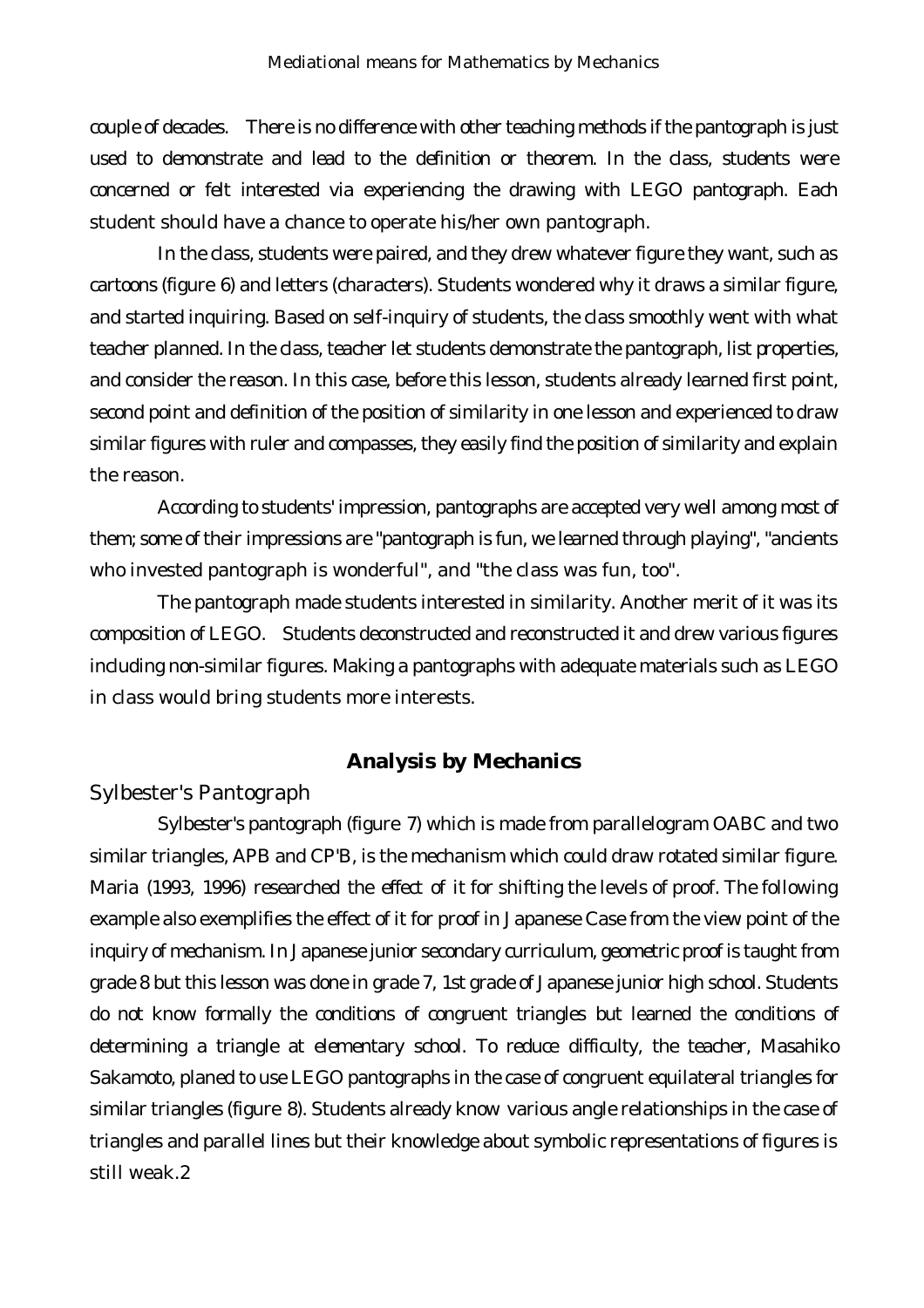couple of decades. There is no difference with other teaching methods if the pantograph is just used to demonstrate and lead to the definition or theorem. In the class, students were concerned or felt interested via experiencing the drawing with LEGO pantograph. Each student should have a chance to operate his/her own pantograph.

In the class, students were paired, and they drew whatever figure they want, such as cartoons (figure 6) and letters (characters). Students wondered why it draws a similar figure, and started inquiring. Based on self-inquiry of students, the class smoothly went with what teacher planned. In the class, teacher let students demonstrate the pantograph, list properties, and consider the reason. In this case, before this lesson, students already learned first point, second point and definition of the position of similarity in one lesson and experienced to draw similar figures with ruler and compasses, they easily find the position of similarity and explain the reason.

According to students' impression, pantographs are accepted very well among most of them; some of their impressions are "pantograph is fun, we learned through playing", "ancients who invested pantograph is wonderful", and "the class was fun, too".

The pantograph made students interested in similarity. Another merit of it was its composition of LEGO. Students deconstructed and reconstructed it and drew various figures including non-similar figures. Making a pantographs with adequate materials such as LEGO in class would bring students more interests.

### **Analysis by Mechanics**

### *Sylbester's Pantograph*

Sylbester's pantograph (figure 7) which is made from parallelogram OABC and two similar triangles, APB and CP'B, is the mechanism which could draw rotated similar figure. Maria (1993, 1996) researched the effect of it for shifting the levels of proof. The following example also exemplifies the effect of it for proof in Japanese Case from the view point of the inquiry of mechanism. In Japanese junior secondary curriculum, geometric proof is taught from grade 8 but this lesson was done in grade 7, 1st grade of Japanese junior high school. Students do not know formally the conditions of congruent triangles but learned the conditions of determining a triangle at elementary school. To reduce difficulty, the teacher, Masahiko Sakamoto, planed to use LEGO pantographs in the case of congruent equilateral triangles for similar triangles (figure 8). Students already know various angle relationships in the case of triangles and parallel lines but their knowledge about symbolic representations of figures is still weak.2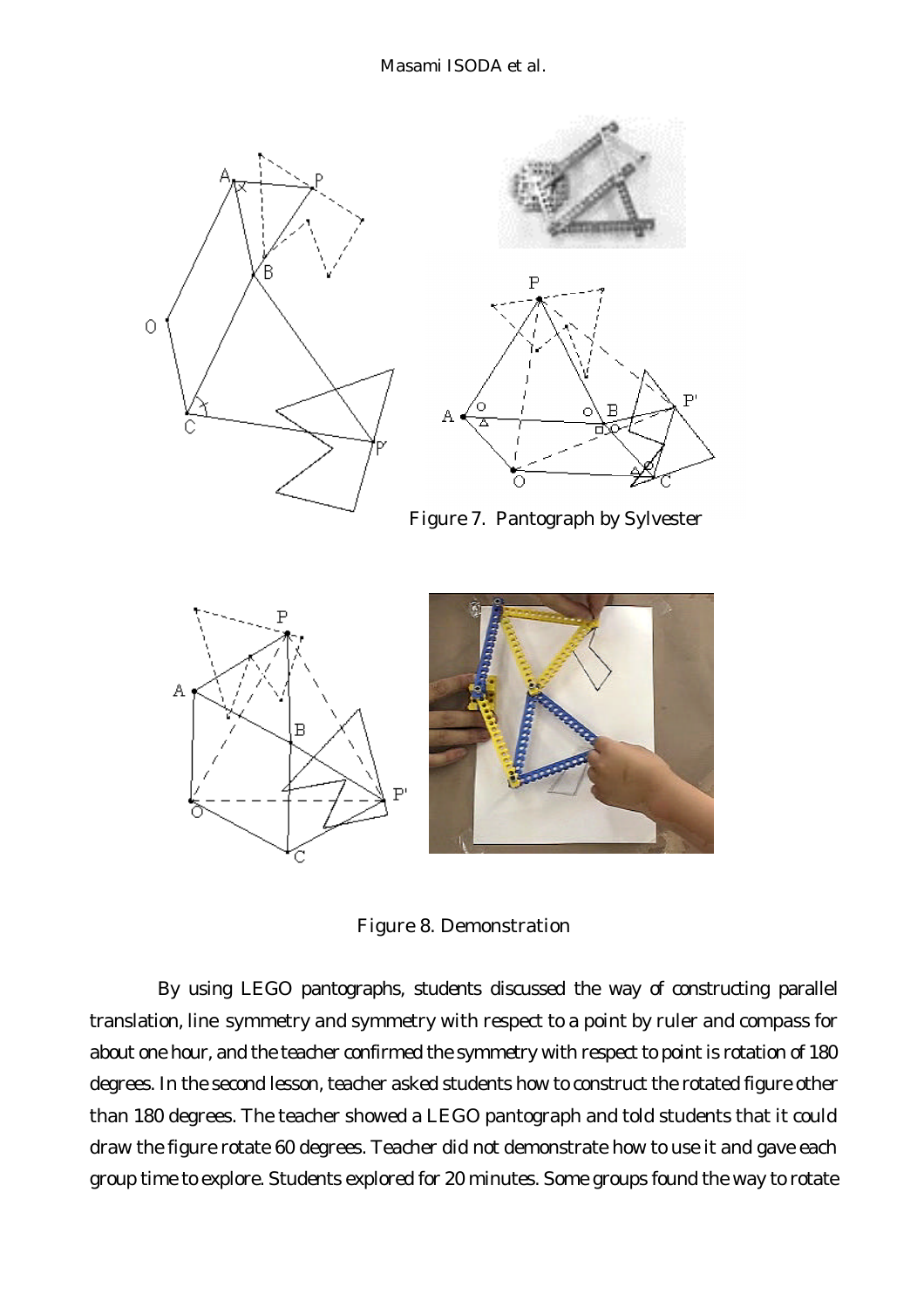

Figure 8. Demonstration

By using LEGO pantographs, students discussed the way of constructing parallel translation, line symmetry and symmetry with respect to a point by ruler and compass for about one hour, and the teacher confirmed the symmetry with respect to point is rotation of 180 degrees. In the second lesson, teacher asked students how to construct the rotated figure other than 180 degrees. The teacher showed a LEGO pantograph and told students that it could draw the figure rotate 60 degrees. Teacher did not demonstrate how to use it and gave each group time to explore. Students explored for 20 minutes. Some groups found the way to rotate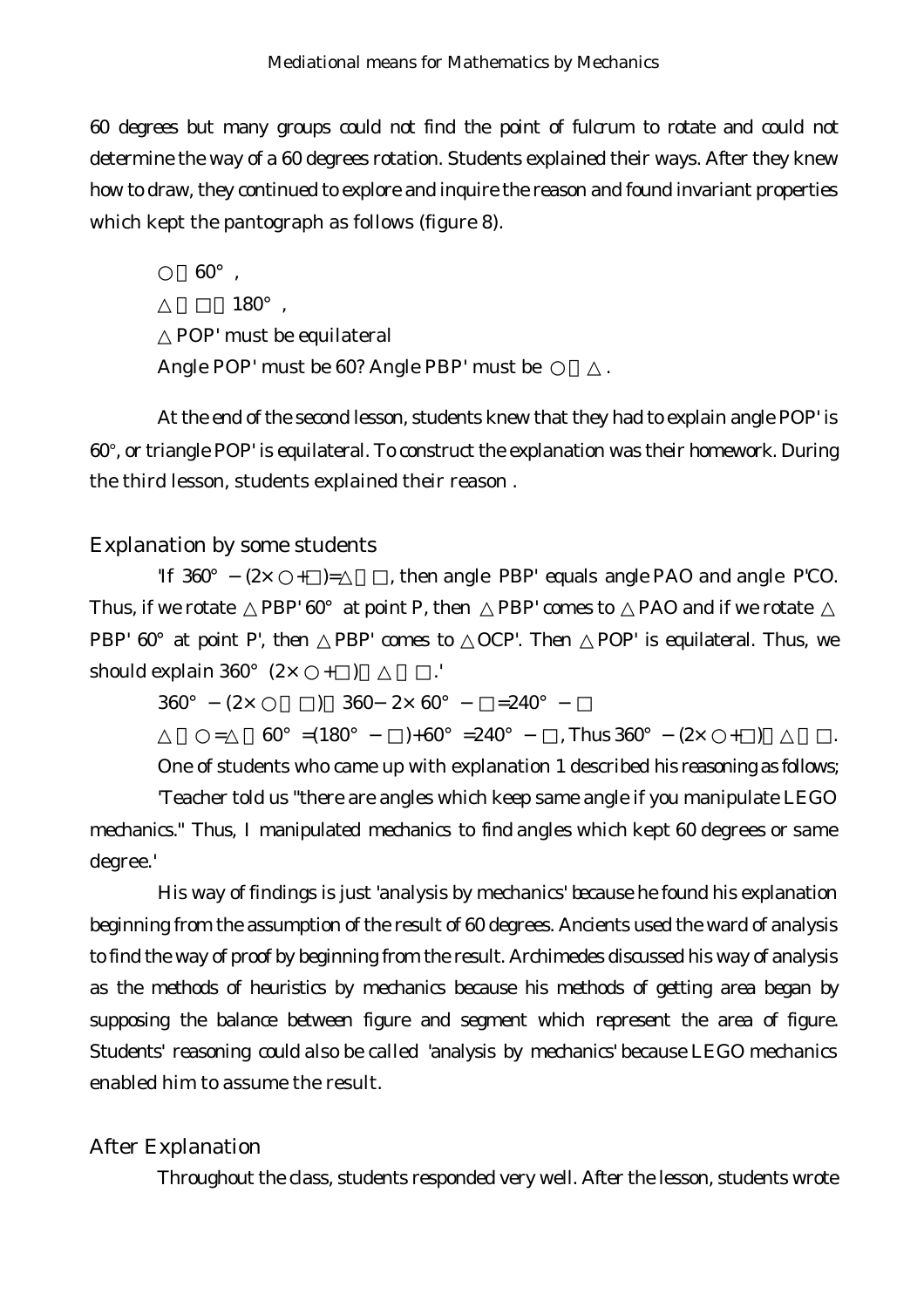60 degrees but many groups could not find the point of fulcrum to rotate and could not determine the way of a 60 degrees rotation. Students explained their ways. After they knew how to draw, they continued to explore and inquire the reason and found invariant properties which kept the pantograph as follows (figure 8).

 $60^\circ$ .  $180^\circ$ , POP' must be equilateral Angle POP' must be 60? Angle PBP' must be

At the end of the second lesson, students knew that they had to explain angle POP' is 60°, or triangle POP' is equilateral. To construct the explanation was their homework. During the third lesson, students explained their reason .

### *Explanation by some students*

'If  $360^{\circ}$   $(2 \times +) =$ , then angle PBP' equals angle PAO and angle P'CO. Thus, if we rotate PBP'  $60^\circ$  at point P, then PBP' comes to PAO and if we rotate PBP' 60° at point P', then PBP' comes to OCP'. Then POP' is equilateral. Thus, we should explain  $360^{\circ}$   $(2 \times +)$ .

360°  $(2 \times$  ) 360  $2 \times 60^{\circ}$  = 240°  $=$  60° =(180°)+60° =240°, Thus 360° (2× +)

One of students who came up with explanation 1 described his reasoning as follows; 'Teacher told us "there are angles which keep same angle if you manipulate LEGO

mechanics." Thus, I manipulated mechanics to find angles which kept 60 degrees or same degree.'

His way of findings is just 'analysis by mechanics' because he found his explanation beginning from the assumption of the result of 60 degrees. Ancients used the ward of analysis to find the way of proof by beginning from the result. Archimedes discussed his way of analysis as the methods of heuristics by mechanics because his methods of getting area began by supposing the balance between figure and segment which represent the area of figure. Students' reasoning could also be called 'analysis by mechanics' because LEGO mechanics enabled him to assume the result.

### *After Explanation*

Throughout the class, students responded very well. After the lesson, students wrote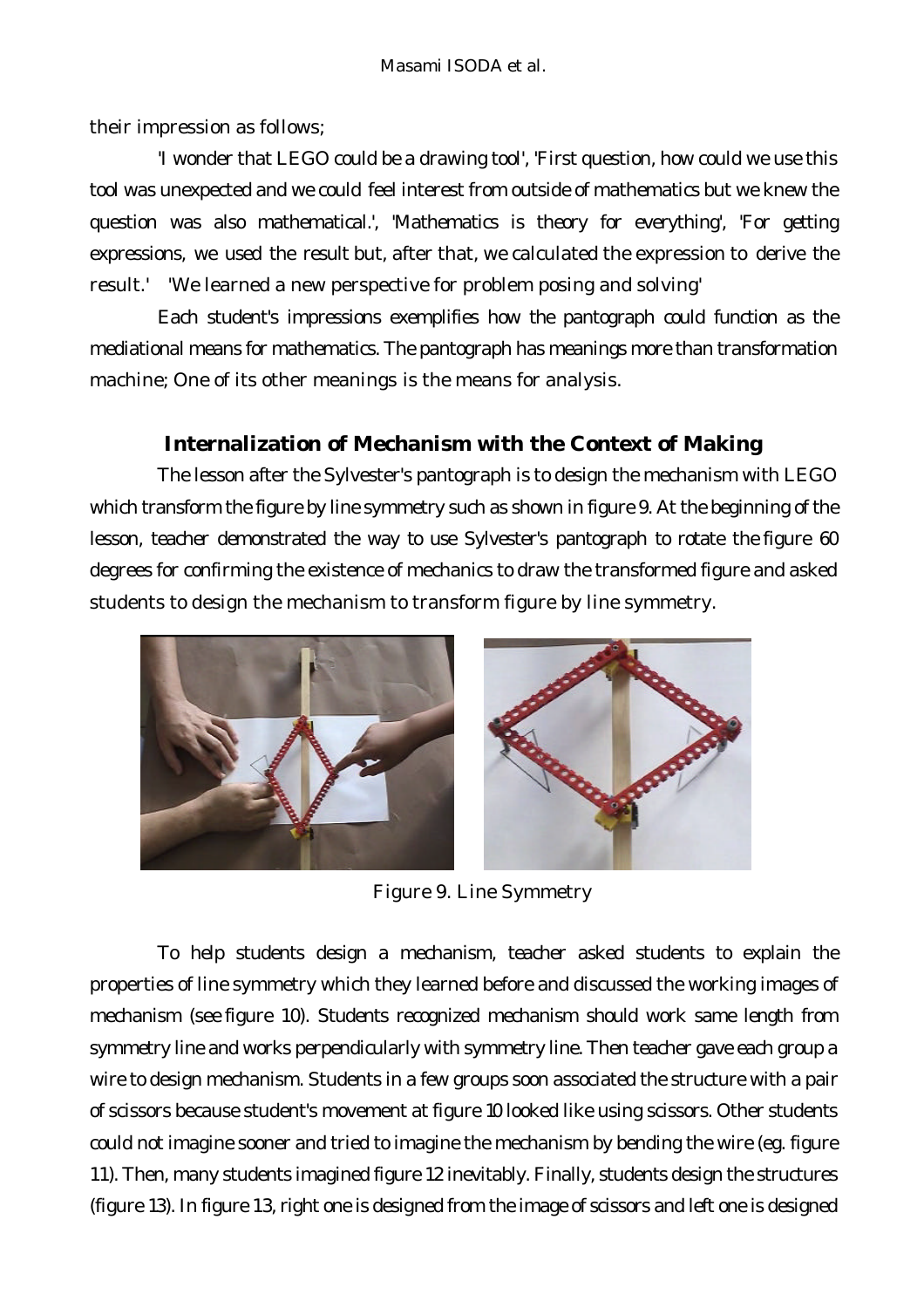their impression as follows;

'I wonder that LEGO could be a drawing tool', 'First question, how could we use this tool was unexpected and we could feel interest from outside of mathematics but we knew the question was also mathematical.', 'Mathematics is theory for everything', 'For getting expressions, we used the result but, after that, we calculated the expression to derive the result.' 'We learned a new perspective for problem posing and solving'

Each student's impressions exemplifies how the pantograph could function as the mediational means for mathematics. The pantograph has meanings more than transformation machine; One of its other meanings is the means for analysis.

# **Internalization of Mechanism with the Context of Making**

The lesson after the Sylvester's pantograph is to design the mechanism with LEGO which transform the figure by line symmetry such as shown in figure 9. At the beginning of the lesson, teacher demonstrated the way to use Sylvester's pantograph to rotate the figure 60 degrees for confirming the existence of mechanics to draw the transformed figure and asked students to design the mechanism to transform figure by line symmetry.



Figure 9. Line Symmetry

To help students design a mechanism, teacher asked students to explain the properties of line symmetry which they learned before and discussed the working images of mechanism (see figure 10). Students recognized mechanism should work same length from symmetry line and works perpendicularly with symmetry line. Then teacher gave each group a wire to design mechanism. Students in a few groups soon associated the structure with a pair of scissors because student's movement at figure 10 looked like using scissors. Other students could not imagine sooner and tried to imagine the mechanism by bending the wire (eg. figure 11). Then, many students imagined figure 12 inevitably. Finally, students design the structures (figure 13). In figure 13, right one is designed from the image of scissors and left one is designed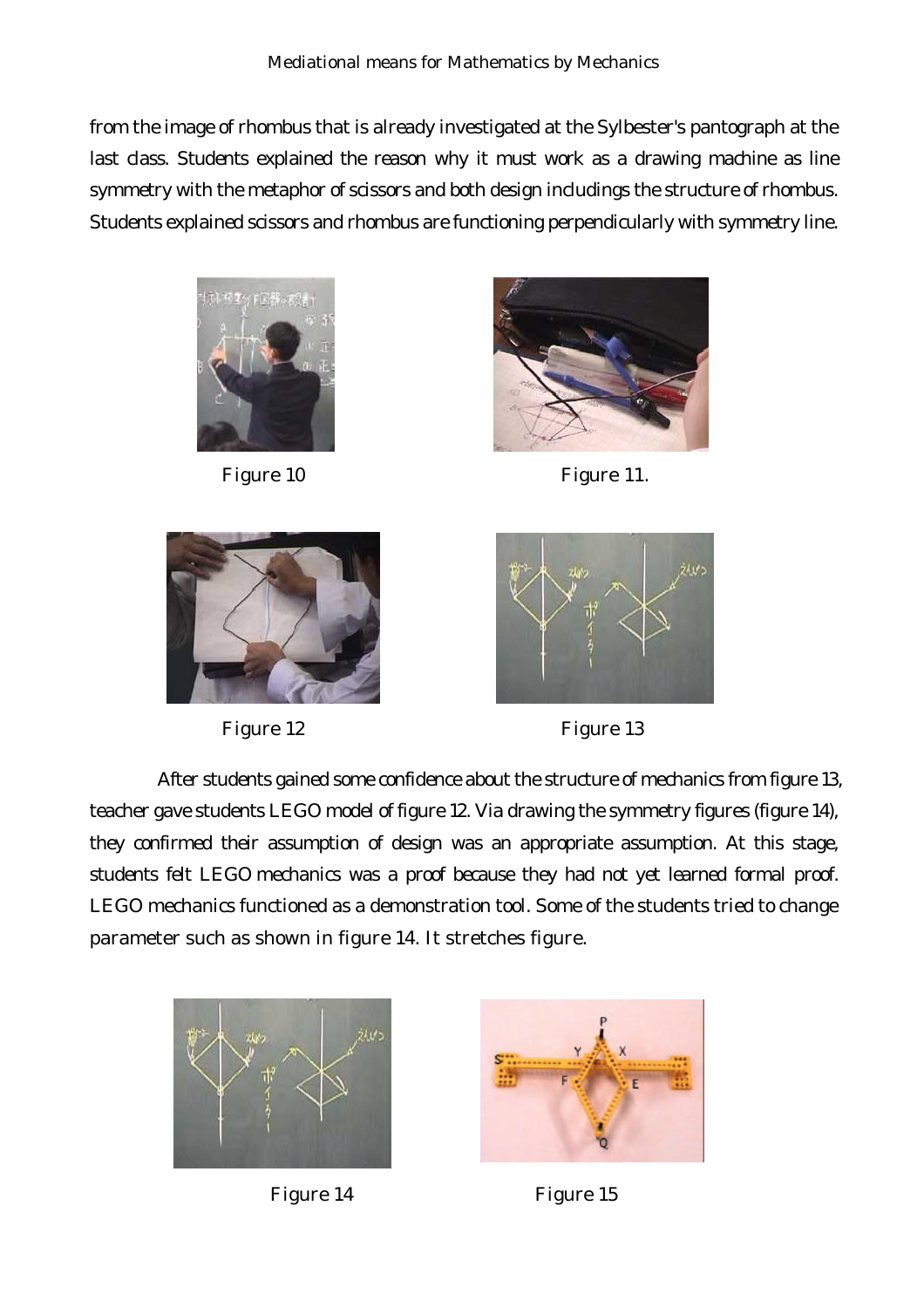from the image of rhombus that is already investigated at the Sylbester's pantograph at the last class. Students explained the reason why it must work as a drawing machine as line symmetry with the metaphor of scissors and both design includings the structure of rhombus. Students explained scissors and rhombus are functioning perpendicularly with symmetry line.







Figure 10 Figure 11.





After students gained some confidence about the structure of mechanics from figure 13, teacher gave students LEGO model of figure 12. Via drawing the symmetry figures (figure 14), they confirmed their assumption of design was an appropriate assumption. At this stage, students felt LEGO mechanics was a proof because they had not yet learned formal proof. LEGO mechanics functioned as a demonstration tool. Some of the students tried to change parameter such as shown in figure 14. It stretches figure.





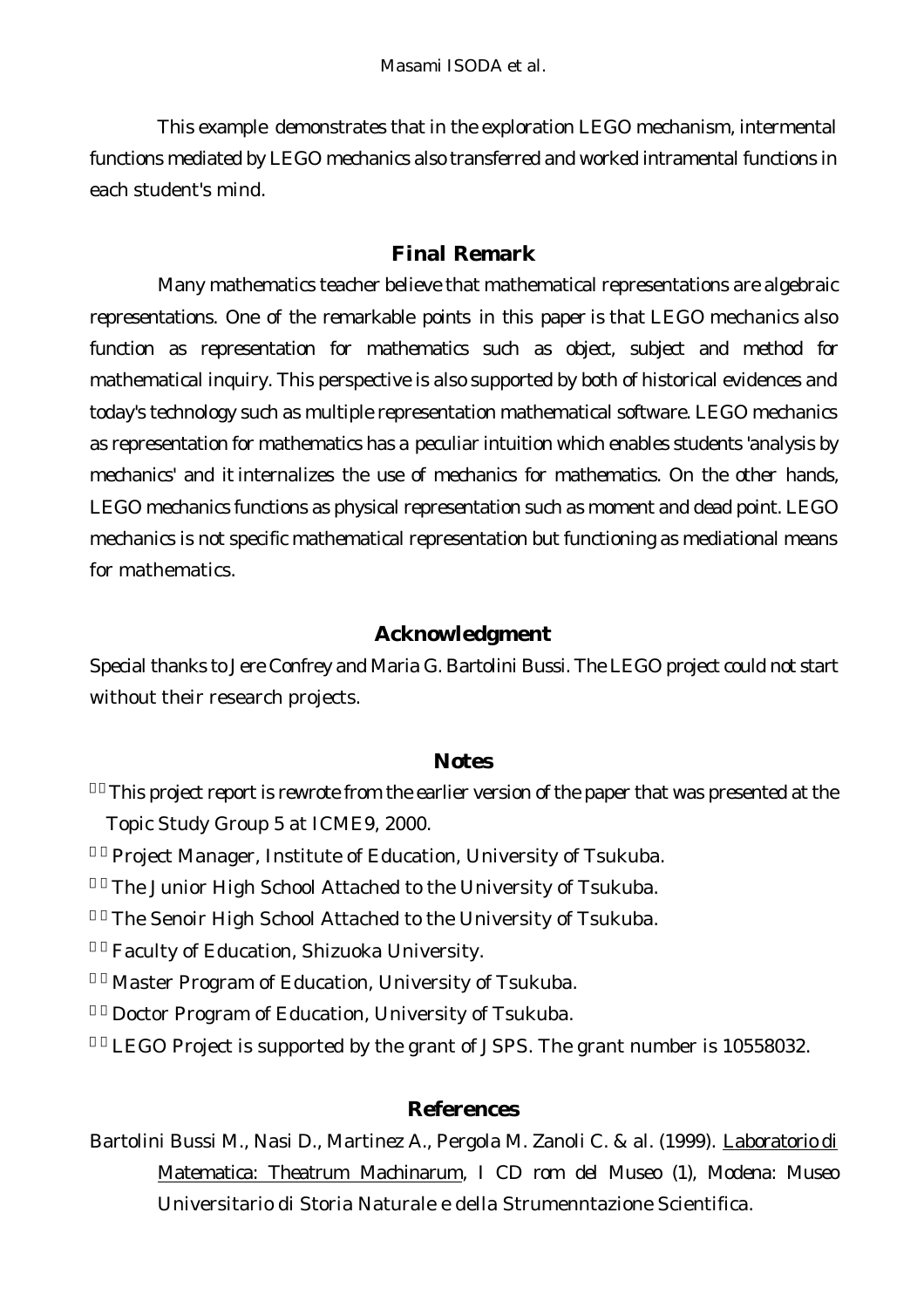This example demonstrates that in the exploration LEGO mechanism, intermental functions mediated by LEGO mechanics also transferred and worked intramental functions in each student's mind.

### **Final Remark**

Many mathematics teacher believe that mathematical representations are algebraic representations. One of the remarkable points in this paper is that LEGO mechanics also function as representation for mathematics such as object, subject and method for mathematical inquiry. This perspective is also supported by both of historical evidences and today's technology such as multiple representation mathematical software. LEGO mechanics as representation for mathematics has a peculiar intuition which enables students 'analysis by mechanics' and it internalizes the use of mechanics for mathematics. On the other hands, LEGO mechanics functions as physical representation such as moment and dead point. LEGO mechanics is not specific mathematical representation but functioning as mediational means for mathematics.

### **Acknowledgment**

Special thanks to Jere Confrey and Maria G. Bartolini Bussi. The LEGO project could not start without their research projects.

### **Notes**

This project report is rewrote from the earlier version of the paper that was presented at the Topic Study Group 5 at ICME9, 2000.

2)Project Manager, Institute of Education, University of Tsukuba.

The Junior High School Attached to the University of Tsukuba.

The Senoir High School Attached to the University of Tsukuba.

5)Faculty of Education, Shizuoka University.

Master Program of Education, University of Tsukuba.

Doctor Program of Education, University of Tsukuba.

LEGO Project is supported by the grant of JSPS. The grant number is 10558032.

### **References**

Bartolini Bussi M., Nasi D., Martinez A., Pergola M. Zanoli C. & al. (1999). Laboratorio di Matematica: Theatrum Machinarum, I CD rom del Museo (1), Modena: Museo Universitario di Storia Naturale e della Strumenntazione Scientifica.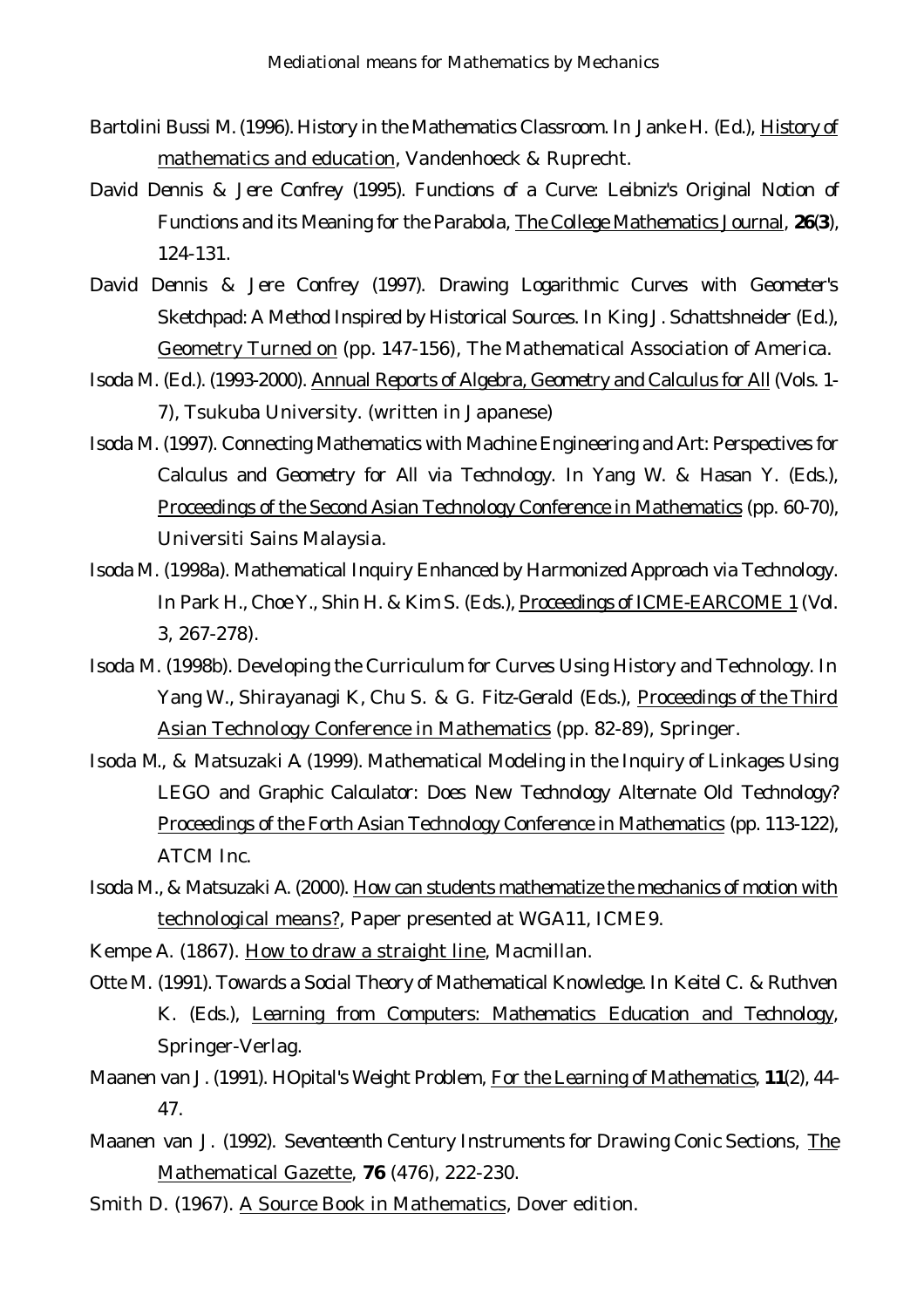- Bartolini Bussi M. (1996). History in the Mathematics Classroom. In Janke H. (Ed.), History of mathematics and education, Vandenhoeck & Ruprecht.
- David Dennis & Jere Confrey (1995). Functions of a Curve: Leibniz's Original Notion of Functions and its Meaning for the Parabola, The College Mathematics Journal, **26**(**3**), 124-131.
- David Dennis & Jere Confrey (1997). Drawing Logarithmic Curves with Geometer's Sketchpad: A Method Inspired by Historical Sources. In King J. Schattshneider (Ed.), Geometry Turned on (pp. 147-156), The Mathematical Association of America.
- Isoda M. (Ed.). (1993-2000). Annual Reports of Algebra, Geometry and Calculus for All (Vols. 1-7), Tsukuba University. (written in Japanese)
- Isoda M. (1997). Connecting Mathematics with Machine Engineering and Art: Perspectives for Calculus and Geometry for All via Technology. In Yang W. & Hasan Y. (Eds.), Proceedings of the Second Asian Technology Conference in Mathematics (pp. 60-70), Universiti Sains Malaysia.
- Isoda M. (1998a). Mathematical Inquiry Enhanced by Harmonized Approach via Technology. In Park H., Choe Y., Shin H. & Kim S. (Eds.), Proceedings of ICME-EARCOME 1 (Vol. 3, 267-278).
- Isoda M. (1998b). Developing the Curriculum for Curves Using History and Technology. In Yang W., Shirayanagi K, Chu S. & G. Fitz-Gerald (Eds.), Proceedings of the Third Asian Technology Conference in Mathematics (pp. 82-89), Springer.
- Isoda M., & Matsuzaki A. (1999). Mathematical Modeling in the Inquiry of Linkages Using LEGO and Graphic Calculator: Does New Technology Alternate Old Technology? Proceedings of the Forth Asian Technology Conference in Mathematics (pp. 113-122), ATCM Inc.
- Isoda M., & Matsuzaki A. (2000). How can students mathematize the mechanics of motion with technological means?, Paper presented at WGA11, ICME9.
- Kempe A. (1867). How to draw a straight line, Macmillan.
- Otte M. (1991). Towards a Social Theory of Mathematical Knowledge. In Keitel C. & Ruthven K. (Eds.), Learning from Computers: Mathematics Education and Technology, Springer-Verlag.
- Maanen van J. (1991). HOpital's Weight Problem, For the Learning of Mathematics, **11**(2), 44- 47.
- Maanen van J. (1992). Seventeenth Century Instruments for Drawing Conic Sections, The Mathematical Gazette, **76** (476), 222-230.
- Smith D. (1967). A Source Book in Mathematics, Dover edition.